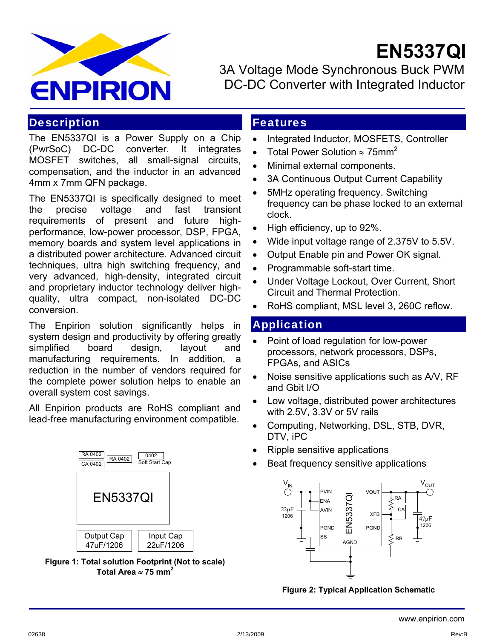

3A Voltage Mode Synchronous Buck PWM DC-DC Converter with Integrated Inductor

 **EN5337QI**

#### **Description**

The EN5337QI is a Power Supply on a Chip (PwrSoC) DC-DC converter. It integrates MOSFET switches, all small-signal circuits, compensation, and the inductor in an advanced 4mm x 7mm QFN package.

The EN5337QI is specifically designed to meet the precise voltage and fast transient requirements of present and future highperformance, low-power processor, DSP, FPGA, memory boards and system level applications in a distributed power architecture. Advanced circuit techniques, ultra high switching frequency, and very advanced, high-density, integrated circuit and proprietary inductor technology deliver highquality, ultra compact, non-isolated DC-DC conversion.

The Enpirion solution significantly helps in system design and productivity by offering greatly simplified board design, layout and manufacturing requirements. In addition, a reduction in the number of vendors required for the complete power solution helps to enable an overall system cost savings.

All Enpirion products are RoHS compliant and lead-free manufacturing environment compatible.

| RA 0402<br>RA 0402<br>CA 0402 | 0402<br>Soft Start Cap |
|-------------------------------|------------------------|
| <b>EN5337QI</b>               |                        |
| Output Cap<br>47uF/1206       | Input Cap<br>22uF/1206 |

**Figure 1: Total solution Footprint (Not to scale)**  Total Area  $\approx$  75 mm<sup>2</sup>

### Features

- Integrated Inductor, MOSFETS, Controller
- Total Power Solution ≈ 75mm<sup>2</sup>
- Minimal external components.
- 3A Continuous Output Current Capability
- 5MHz operating frequency. Switching frequency can be phase locked to an external clock.
- High efficiency, up to 92%.
- Wide input voltage range of 2.375V to 5.5V.
- Output Enable pin and Power OK signal.
- Programmable soft-start time.
- Under Voltage Lockout, Over Current, Short Circuit and Thermal Protection.
- RoHS compliant, MSL level 3, 260C reflow.

#### Application

- Point of load regulation for low-power processors, network processors, DSPs, FPGAs, and ASICs
- Noise sensitive applications such as A/V, RF and Gbit I/O
- Low voltage, distributed power architectures with 2.5V, 3.3V or 5V rails
- Computing, Networking, DSL, STB, DVR, DTV, iPC
- Ripple sensitive applications
- Beat frequency sensitive applications



**Figure 2: Typical Application Schematic**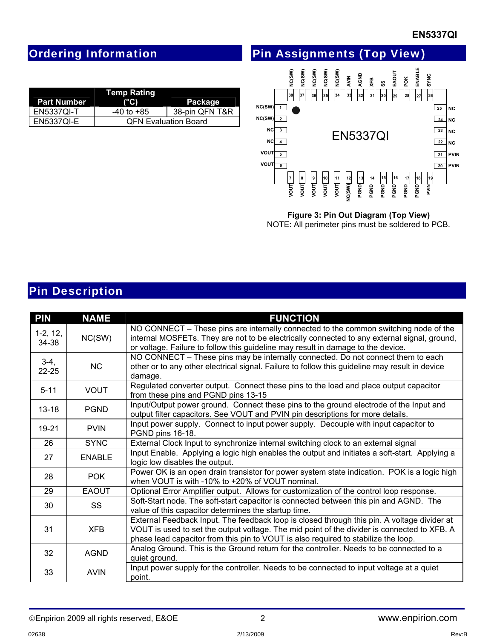## Ordering Information

|  | <b>Pin Assignments (Top View)</b> |
|--|-----------------------------------|

| Temp Rating        |                             |                |  |  |  |
|--------------------|-----------------------------|----------------|--|--|--|
| <b>Part Number</b> | $(^{\circ}C)$               | Package        |  |  |  |
| <b>EN5337QI-T</b>  | -40 to +85                  | 38-pin QFN T&R |  |  |  |
| <b>EN5337QI-E</b>  | <b>QFN Evaluation Board</b> |                |  |  |  |



### **Figure 3: Pin Out Diagram (Top View)**

NOTE: All perimeter pins must be soldered to PCB.

### Pin Description

| <b>PIN</b>          | <b>NAME</b>   | <b>FUNCTION</b>                                                                                                                                                                                                                                                                  |
|---------------------|---------------|----------------------------------------------------------------------------------------------------------------------------------------------------------------------------------------------------------------------------------------------------------------------------------|
| $1-2, 12,$<br>34-38 | NC(SW)        | NO CONNECT – These pins are internally connected to the common switching node of the<br>internal MOSFETs. They are not to be electrically connected to any external signal, ground,<br>or voltage. Failure to follow this guideline may result in damage to the device.          |
| $3-4,$<br>$22 - 25$ | <b>NC</b>     | NO CONNECT – These pins may be internally connected. Do not connect them to each<br>other or to any other electrical signal. Failure to follow this guideline may result in device<br>damage.                                                                                    |
| $5 - 11$            | <b>VOUT</b>   | Regulated converter output. Connect these pins to the load and place output capacitor<br>from these pins and PGND pins 13-15                                                                                                                                                     |
| $13 - 18$           | <b>PGND</b>   | Input/Output power ground. Connect these pins to the ground electrode of the Input and<br>output filter capacitors. See VOUT and PVIN pin descriptions for more details.                                                                                                         |
| 19-21               | <b>PVIN</b>   | Input power supply. Connect to input power supply. Decouple with input capacitor to<br>PGND pins 16-18.                                                                                                                                                                          |
| 26                  | <b>SYNC</b>   | External Clock Input to synchronize internal switching clock to an external signal                                                                                                                                                                                               |
| 27                  | <b>ENABLE</b> | Input Enable. Applying a logic high enables the output and initiates a soft-start. Applying a<br>logic low disables the output.                                                                                                                                                  |
| 28                  | <b>POK</b>    | Power OK is an open drain transistor for power system state indication. POK is a logic high<br>when VOUT is with -10% to +20% of VOUT nominal.                                                                                                                                   |
| 29                  | <b>EAOUT</b>  | Optional Error Amplifier output. Allows for customization of the control loop response.                                                                                                                                                                                          |
| 30                  | SS            | Soft-Start node. The soft-start capacitor is connected between this pin and AGND. The<br>value of this capacitor determines the startup time.                                                                                                                                    |
| 31                  | XFB           | External Feedback Input. The feedback loop is closed through this pin. A voltage divider at<br>VOUT is used to set the output voltage. The mid point of the divider is connected to XFB. A<br>phase lead capacitor from this pin to VOUT is also required to stabilize the loop. |
| 32                  | <b>AGND</b>   | Analog Ground. This is the Ground return for the controller. Needs to be connected to a<br>quiet ground.                                                                                                                                                                         |
| 33                  | <b>AVIN</b>   | Input power supply for the controller. Needs to be connected to input voltage at a quiet<br>point.                                                                                                                                                                               |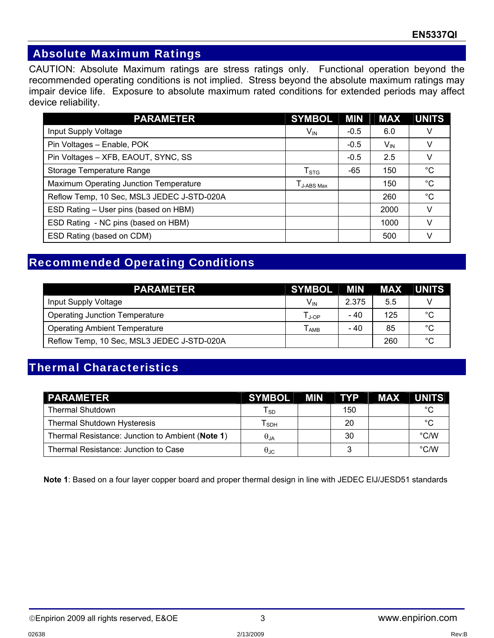### Absolute Maximum Ratings

CAUTION: Absolute Maximum ratings are stress ratings only. Functional operation beyond the recommended operating conditions is not implied. Stress beyond the absolute maximum ratings may impair device life. Exposure to absolute maximum rated conditions for extended periods may affect device reliability.

| <b>PARAMETER</b>                           | <b>SYMBOL</b>               | MIN    | <b>MAX</b>      | <b>UNITS</b> |
|--------------------------------------------|-----------------------------|--------|-----------------|--------------|
| Input Supply Voltage                       | $V_{IN}$                    | $-0.5$ | 6.0             |              |
| Pin Voltages - Enable, POK                 |                             | $-0.5$ | $V_{\text{IN}}$ |              |
| Pin Voltages - XFB, EAOUT, SYNC, SS        |                             | $-0.5$ | 2.5             |              |
| Storage Temperature Range                  | $\mathsf{T}_{\text{STG}}$   | -65    | 150             | °C           |
| Maximum Operating Junction Temperature     | $\Gamma_{\text{J-ABS Max}}$ |        | 150             | $^{\circ}C$  |
| Reflow Temp, 10 Sec, MSL3 JEDEC J-STD-020A |                             |        | 260             | $^{\circ}C$  |
| ESD Rating - User pins (based on HBM)      |                             |        | 2000            |              |
| ESD Rating - NC pins (based on HBM)        |                             |        | 1000            |              |
| ESD Rating (based on CDM)                  |                             |        | 500             |              |

## Recommended Operating Conditions

| <b>PARAMETER</b>                           | SYMBOL MIN      |       |     | MAX UNITS |
|--------------------------------------------|-----------------|-------|-----|-----------|
| Input Supply Voltage                       | V <sub>IN</sub> | 2.375 | 5.5 |           |
| <b>Operating Junction Temperature</b>      | l ⊥op           | - 40  | 125 | °С        |
| <b>Operating Ambient Temperature</b>       | AMB             | - 40  | 85  | °С        |
| Reflow Temp, 10 Sec, MSL3 JEDEC J-STD-020A |                 |       | 260 | °С        |

## Thermal Characteristics

| <b>PARAMETER</b>                                 | <b>SYMBOL</b> | <b>MIN</b> |     | TYP MAX UNITS |               |
|--------------------------------------------------|---------------|------------|-----|---------------|---------------|
| <b>Thermal Shutdown</b>                          | l so          |            | 150 |               | $\circ$       |
| Thermal Shutdown Hysteresis                      | l sph         |            | 20  |               | $\circ$       |
| Thermal Resistance: Junction to Ambient (Note 1) | $\theta_{JA}$ |            | 30  |               | $\degree$ C/W |
| Thermal Resistance: Junction to Case             | θJC           |            |     |               | $\degree$ C/W |

**Note 1**: Based on a four layer copper board and proper thermal design in line with JEDEC EIJ/JESD51 standards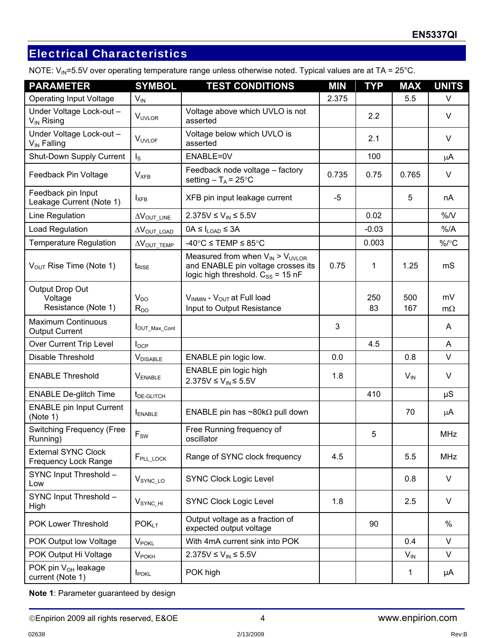# Electrical Characteristics

NOTE:  $V_{IN}$ =5.5V over operating temperature range unless otherwise noted. Typical values are at TA = 25°C.

| <b>PARAMETER</b>                                    | <b>SYMBOL</b>                        | <b>TEST CONDITIONS</b>                                                                                                    | <b>MIN</b> | <b>TYP</b> | <b>NAX</b> | <b>UNITS</b>    |
|-----------------------------------------------------|--------------------------------------|---------------------------------------------------------------------------------------------------------------------------|------------|------------|------------|-----------------|
| <b>Operating Input Voltage</b>                      | $V_{\text{IN}}$                      |                                                                                                                           | 2.375      |            | 5.5        | V               |
| Under Voltage Lock-out -<br>V <sub>IN</sub> Rising  | V <sub>UVLOR</sub>                   | Voltage above which UVLO is not<br>asserted                                                                               |            | 2.2        |            | $\vee$          |
| Under Voltage Lock-out -<br>V <sub>IN</sub> Falling | V <sub>uvlof</sub>                   | Voltage below which UVLO is<br>asserted                                                                                   |            | 2.1        |            | $\vee$          |
| Shut-Down Supply Current                            | $I_{\rm S}$                          | ENABLE=0V                                                                                                                 |            | 100        |            | μA              |
| Feedback Pin Voltage                                | <b>V</b> <sub>XFB</sub>              | Feedback node voltage - factory<br>setting $-T_A = 25^{\circ}C$                                                           | 0.735      | 0.75       | 0.765      | V               |
| Feedback pin Input<br>Leakage Current (Note 1)      | $I_{XFB}$                            | XFB pin input leakage current                                                                                             | $-5$       |            | 5          | nA              |
| Line Regulation                                     | $\Delta V_{\text{OUT\_LINE}}$        | 2.375V ≤ $V_{IN}$ ≤ 5.5V                                                                                                  |            | 0.02       |            | %N              |
| Load Regulation                                     | $\Delta V_{\text{OUT}\_\text{LOAD}}$ | $0A \leq I_{\text{LOAD}} \leq 3A$                                                                                         |            | $-0.03$    |            | $%$ /A          |
| <b>Temperature Regulation</b>                       | $\Delta V_{\text{OUT}}$ TEMP         | -40°C ≤ TEMP ≤ 85°C                                                                                                       |            | 0.003      |            | $\%$ /°C        |
| V <sub>OUT</sub> Rise Time (Note 1)                 | t <sub>RISE</sub>                    | Measured from when $V_{IN}$ > $V_{UVLOR}$<br>and ENABLE pin voltage crosses its<br>logic high threshold. $C_{SS}$ = 15 nF | 0.75       | 1          | 1.25       | mS              |
| Output Drop Out<br>Voltage<br>Resistance (Note 1)   | $V_{DO}$<br>$R_{DO}$                 | VINMIN - VOUT at Full load<br>Input to Output Resistance                                                                  |            | 250<br>83  | 500<br>167 | mV<br>$m\Omega$ |
| <b>Maximum Continuous</b><br><b>Output Current</b>  | OUT_Max_Cont                         |                                                                                                                           | 3          |            |            | A               |
| Over Current Trip Level                             | $I_{OCP}$                            |                                                                                                                           |            | 4.5        |            | A               |
| Disable Threshold                                   | <b>V</b> DISABLE                     | ENABLE pin logic low.                                                                                                     | 0.0        |            | 0.8        | $\vee$          |
| <b>ENABLE Threshold</b>                             | $V_{ENABLE}$                         | ENABLE pin logic high<br>2.375V ≤ $V_{IN}$ ≤ 5.5V                                                                         | 1.8        |            | $V_{IN}$   | V               |
| <b>ENABLE De-glitch Time</b>                        | t <sub>DE-GLITCH</sub>               |                                                                                                                           |            | 410        |            | $\mu$ S         |
| <b>ENABLE pin Input Current</b><br>(Note 1)         | ENABLE                               | ENABLE pin has $\sim$ 80k $\Omega$ pull down                                                                              |            |            | 70         | μA              |
| <b>Switching Frequency (Free</b><br>Running)        | $\mathsf{F}_{\mathsf{SW}}$           | Free Running frequency of<br>oscillator                                                                                   |            | 5          |            | <b>MHz</b>      |
| <b>External SYNC Clock</b><br>Frequency Lock Range  | F <sub>PLL</sub> <sub>LOCK</sub>     | Range of SYNC clock frequency                                                                                             | 4.5        |            | 5.5        | <b>MHz</b>      |
| SYNC Input Threshold -<br>Low                       | $V_{\text{SYNC\_LO}}$                | <b>SYNC Clock Logic Level</b>                                                                                             |            |            | 0.8        | V               |
| SYNC Input Threshold -<br>High                      | $V_{\mathsf{SYNC\_HI}}$              | <b>SYNC Clock Logic Level</b>                                                                                             | 1.8        |            | 2.5        | V               |
| POK Lower Threshold                                 | POK <sub>LT</sub>                    | Output voltage as a fraction of<br>expected output voltage                                                                |            | 90         |            | %               |
| POK Output low Voltage                              | <b>V</b> POKL                        | With 4mA current sink into POK                                                                                            |            |            | 0.4        | $\vee$          |
| POK Output Hi Voltage                               | <b>V</b> <sub>POKH</sub>             | 2.375V ≤ $V_{IN}$ ≤ 5.5V                                                                                                  |            |            | $V_{IN}$   | $\vee$          |
| POK pin V <sub>OH</sub> leakage<br>current (Note 1) | <b>I</b> POKL                        | POK high                                                                                                                  |            |            | 1          | μA              |

**Note 1**: Parameter guaranteed by design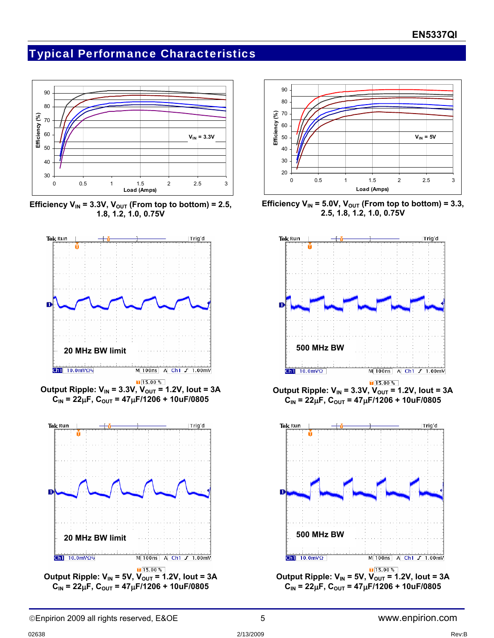## Typical Performance Characteristics



Efficiency  $V_{IN}$  = 3.3V,  $V_{OUT}$  (From top to bottom) = 2.5, **1.8, 1.2, 1.0, 0.75V** 









Efficiency  $V_{IN}$  = 5.0V,  $V_{OUT}$  (From top to bottom) = 3.3, **2.5, 1.8, 1.2, 1.0, 0.75V** 



 $\sqrt{15.00\%}$ **Output Ripple:**  $V_{IN}$  **= 3.3V,**  $V_{OUT}$  **= 1.2V, lout = 3A**  $C_{IN}$  = 22μF,  $C_{OUT}$  = 47μF/1206 + 10uF/0805

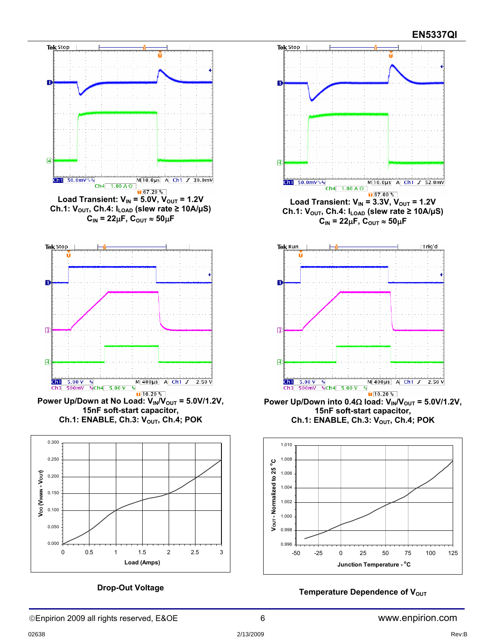

**Drop-Out Voltage**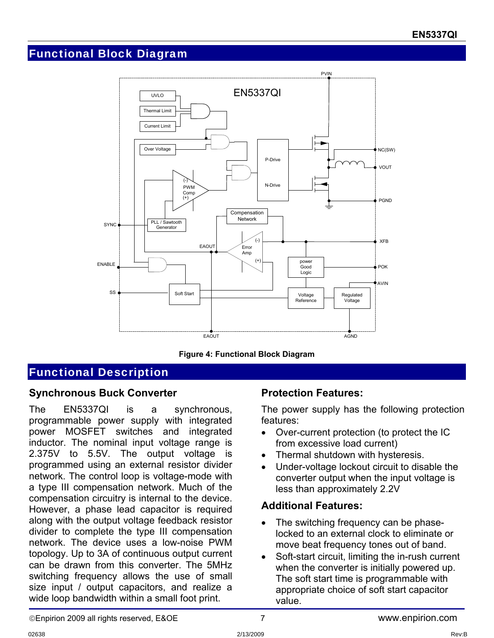## Functional Block Diagram



**Figure 4: Functional Block Diagram** 

# Functional Description

#### **Synchronous Buck Converter**

The EN5337QI is a synchronous, programmable power supply with integrated power MOSFET switches and integrated inductor. The nominal input voltage range is 2.375V to 5.5V. The output voltage is programmed using an external resistor divider network. The control loop is voltage-mode with a type III compensation network. Much of the compensation circuitry is internal to the device. However, a phase lead capacitor is required along with the output voltage feedback resistor divider to complete the type III compensation network. The device uses a low-noise PWM topology. Up to 3A of continuous output current can be drawn from this converter. The 5MHz switching frequency allows the use of small size input / output capacitors, and realize a wide loop bandwidth within a small foot print.

#### **Protection Features:**

The power supply has the following protection features:

- Over-current protection (to protect the IC from excessive load current)
- Thermal shutdown with hysteresis.
- Under-voltage lockout circuit to disable the converter output when the input voltage is less than approximately 2.2V

#### **Additional Features:**

- The switching frequency can be phaselocked to an external clock to eliminate or move beat frequency tones out of band.
- Soft-start circuit, limiting the in-rush current when the converter is initially powered up. The soft start time is programmable with appropriate choice of soft start capacitor value.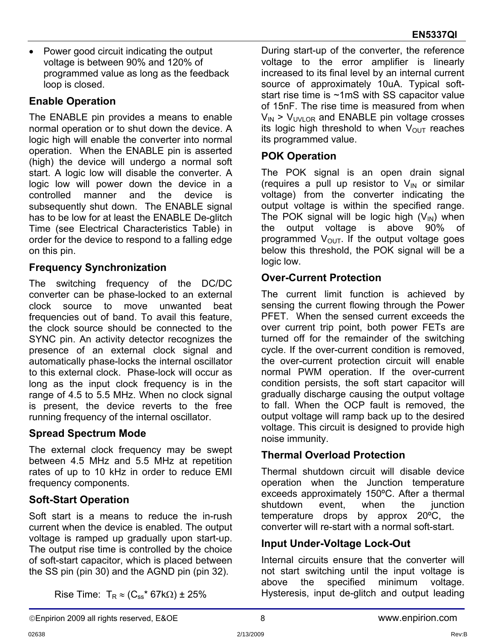• Power good circuit indicating the output voltage is between 90% and 120% of programmed value as long as the feedback loop is closed.

### **Enable Operation**

The ENABLE pin provides a means to enable normal operation or to shut down the device. A logic high will enable the converter into normal operation. When the ENABLE pin is asserted (high) the device will undergo a normal soft start. A logic low will disable the converter. A logic low will power down the device in a controlled manner and the device is subsequently shut down. The ENABLE signal has to be low for at least the ENABLE De-glitch Time (see Electrical Characteristics Table) in order for the device to respond to a falling edge on this pin.

### **Frequency Synchronization**

The switching frequency of the DC/DC converter can be phase-locked to an external clock source to move unwanted beat frequencies out of band. To avail this feature, the clock source should be connected to the SYNC pin. An activity detector recognizes the presence of an external clock signal and automatically phase-locks the internal oscillator to this external clock. Phase-lock will occur as long as the input clock frequency is in the range of 4.5 to 5.5 MHz. When no clock signal is present, the device reverts to the free running frequency of the internal oscillator.

## **Spread Spectrum Mode**

The external clock frequency may be swept between 4.5 MHz and 5.5 MHz at repetition rates of up to 10 kHz in order to reduce EMI frequency components.

## **Soft-Start Operation**

Soft start is a means to reduce the in-rush current when the device is enabled. The output voltage is ramped up gradually upon start-up. The output rise time is controlled by the choice of soft-start capacitor, which is placed between the SS pin (pin 30) and the AGND pin (pin 32).

During start-up of the converter, the reference voltage to the error amplifier is linearly increased to its final level by an internal current source of approximately 10uA. Typical softstart rise time is ~1mS with SS capacitor value of 15nF. The rise time is measured from when  $V_{IN}$  >  $V_{UNI}$  or and ENABLE pin voltage crosses its logic high threshold to when  $V_{\text{OUT}}$  reaches its programmed value.

### **POK Operation**

The POK signal is an open drain signal (requires a pull up resistor to  $V_{IN}$  or similar voltage) from the converter indicating the output voltage is within the specified range. The POK signal will be logic high  $(V_{\text{IN}})$  when the output voltage is above 90% of programmed  $V_{\text{OUT}}$ . If the output voltage goes below this threshold, the POK signal will be a logic low.

### **Over-Current Protection**

The current limit function is achieved by sensing the current flowing through the Power PFET. When the sensed current exceeds the over current trip point, both power FETs are turned off for the remainder of the switching cycle. If the over-current condition is removed, the over-current protection circuit will enable normal PWM operation. If the over-current condition persists, the soft start capacitor will gradually discharge causing the output voltage to fall. When the OCP fault is removed, the output voltage will ramp back up to the desired voltage. This circuit is designed to provide high noise immunity.

#### **Thermal Overload Protection**

Thermal shutdown circuit will disable device operation when the Junction temperature exceeds approximately 150ºC. After a thermal shutdown event, when the junction temperature drops by approx 20ºC, the converter will re-start with a normal soft-start.

#### **Input Under-Voltage Lock-Out**

Internal circuits ensure that the converter will not start switching until the input voltage is above the specified minimum voltage. Hysteresis, input de-glitch and output leading

Rise Time:  $T_R \approx (C_{ss}^* 67k\Omega) \pm 25\%$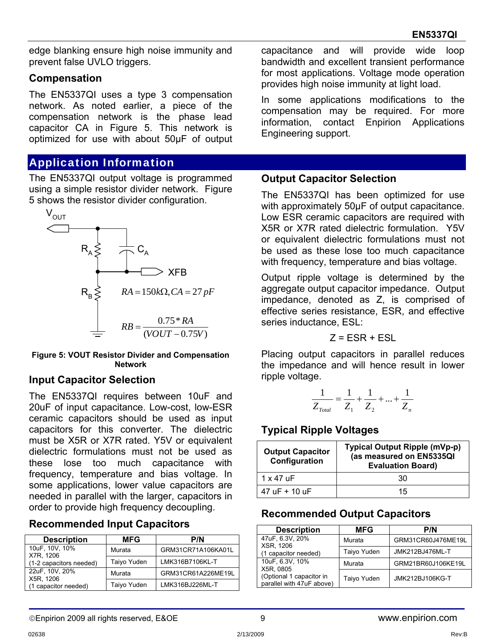edge blanking ensure high noise immunity and prevent false UVLO triggers.

#### **Compensation**

The EN5337QI uses a type 3 compensation network. As noted earlier, a piece of the compensation network is the phase lead capacitor CA in Figure 5. This network is optimized for use with about 50μF of output

## Application Information

The EN5337QI output voltage is programmed using a simple resistor divider network. Figure 5 shows the resistor divider configuration.



#### **Figure 5: VOUT Resistor Divider and Compensation Network**

#### **Input Capacitor Selection**

The EN5337QI requires between 10uF and 20uF of input capacitance. Low-cost, low-ESR ceramic capacitors should be used as input capacitors for this converter. The dielectric must be X5R or X7R rated. Y5V or equivalent dielectric formulations must not be used as these lose too much capacitance with frequency, temperature and bias voltage. In some applications, lower value capacitors are needed in parallel with the larger, capacitors in order to provide high frequency decoupling.

#### **Recommended Input Capacitors**

| <b>Description</b>                   | <b>MFG</b>  | P/N                |
|--------------------------------------|-------------|--------------------|
| 10uF, 10V, 10%                       | Murata      | GRM31CR71A106KA01L |
| X7R, 1206<br>(1-2 capacitors needed) | Taiyo Yuden | LMK316B7106KL-T    |
| 22uF, 10V, 20%<br>X5R, 1206          | Murata      | GRM31CR61A226ME19L |
| (1 capacitor needed)                 | Taiyo Yuden | LMK316BJ226ML-T    |

capacitance and will provide wide loop bandwidth and excellent transient performance for most applications. Voltage mode operation provides high noise immunity at light load.

In some applications modifications to the compensation may be required. For more information, contact Enpirion Applications Engineering support.

#### **Output Capacitor Selection**

The EN5337QI has been optimized for use with approximately 50μF of output capacitance. Low ESR ceramic capacitors are required with X5R or X7R rated dielectric formulation. Y5V or equivalent dielectric formulations must not be used as these lose too much capacitance with frequency, temperature and bias voltage.

Output ripple voltage is determined by the aggregate output capacitor impedance. Output impedance, denoted as Z, is comprised of effective series resistance, ESR, and effective series inductance, ESL:

$$
Z = ESR + ESL
$$

Placing output capacitors in parallel reduces the impedance and will hence result in lower ripple voltage.

$$
\frac{1}{Z_{\text{Total}}} = \frac{1}{Z_1} + \frac{1}{Z_2} + \dots + \frac{1}{Z_n}
$$

## **Typical Ripple Voltages**

| <b>Output Capacitor</b><br>Configuration | Typical Output Ripple (mVp-p)<br>(as measured on EN5335QI<br><b>Evaluation Board)</b> |
|------------------------------------------|---------------------------------------------------------------------------------------|
| 1 x 47 uF                                | 30                                                                                    |
| $47 \text{ uF} + 10 \text{ uF}$          | 15                                                                                    |

#### **Recommended Output Capacitors**

| <b>Description</b>                                    | <b>MFG</b>  | P/N                |
|-------------------------------------------------------|-------------|--------------------|
| 47uF, 6.3V, 20%<br><b>XSR. 1206</b>                   | Murata      | GRM31CR60J476ME19L |
| (1 capacitor needed)                                  | Taiyo Yuden | JMK212BJ476ML-T    |
| 10uF, 6.3V, 10%<br>X5R, 0805                          | Murata      | GRM21BR60J106KE19L |
| (Optional 1 capacitor in<br>parallel with 47uF above) | Taiyo Yuden | JMK212BJ106KG-T    |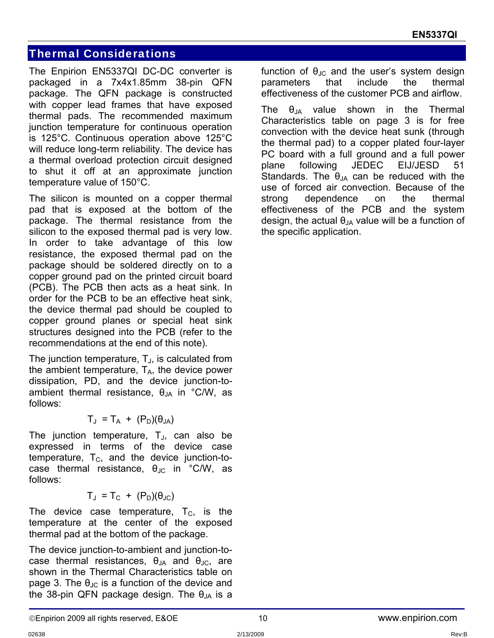## Thermal Considerations

The Enpirion EN5337QI DC-DC converter is packaged in a 7x4x1.85mm 38-pin QFN package. The QFN package is constructed with copper lead frames that have exposed thermal pads. The recommended maximum junction temperature for continuous operation is 125°C. Continuous operation above 125°C will reduce long-term reliability. The device has a thermal overload protection circuit designed to shut it off at an approximate junction temperature value of 150°C.

The silicon is mounted on a copper thermal pad that is exposed at the bottom of the package. The thermal resistance from the silicon to the exposed thermal pad is very low. In order to take advantage of this low resistance, the exposed thermal pad on the package should be soldered directly on to a copper ground pad on the printed circuit board (PCB). The PCB then acts as a heat sink. In order for the PCB to be an effective heat sink, the device thermal pad should be coupled to copper ground planes or special heat sink structures designed into the PCB (refer to the recommendations at the end of this note).

The junction temperature,  $T_{J}$ , is calculated from the ambient temperature,  $T_A$ , the device power dissipation, PD, and the device junction-toambient thermal resistance,  $\theta_{JA}$  in °C/W, as follows:

$$
T_{J} = T_{A} + (P_{D})(\theta_{JA})
$$

The junction temperature,  $T_{\text{J}}$ , can also be expressed in terms of the device case temperature,  $T_c$ , and the device junction-tocase thermal resistance,  $\theta_{\text{JC}}$  in °C/W, as follows:

$$
T_J = T_C + (P_D)(\theta_{JC})
$$

The device case temperature,  $T_c$ , is the temperature at the center of the exposed thermal pad at the bottom of the package.

The device junction-to-ambient and junction-tocase thermal resistances,  $\theta_{JA}$  and  $\theta_{JC}$ , are shown in the Thermal Characteristics table on page 3. The  $\theta_{\text{JC}}$  is a function of the device and the 38-pin QFN package design. The  $\theta_{JA}$  is a function of  $\theta_{\text{JC}}$  and the user's system design parameters that include the thermal effectiveness of the customer PCB and airflow.

The  $\theta_{JA}$  value shown in the Thermal Characteristics table on page 3 is for free convection with the device heat sunk (through the thermal pad) to a copper plated four-layer PC board with a full ground and a full power plane following JEDEC EIJ/JESD 51 Standards. The  $\theta_{JA}$  can be reduced with the use of forced air convection. Because of the strong dependence on the thermal effectiveness of the PCB and the system design, the actual  $\theta_{JA}$  value will be a function of the specific application.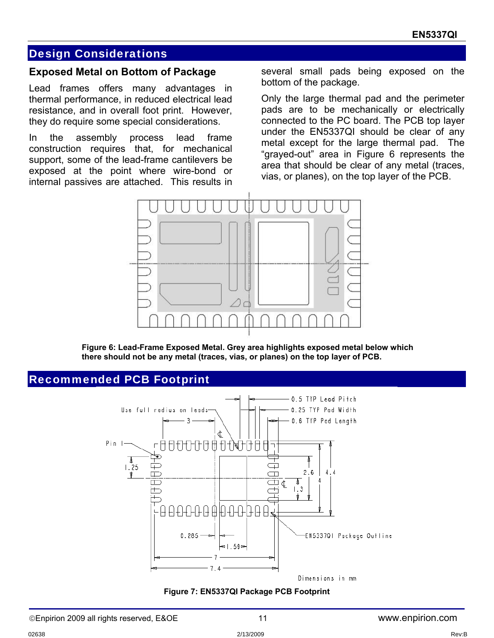#### Design Considerations

#### **Exposed Metal on Bottom of Package**

Lead frames offers many advantages in thermal performance, in reduced electrical lead resistance, and in overall foot print. However, they do require some special considerations.

In the assembly process lead frame construction requires that, for mechanical support, some of the lead-frame cantilevers be exposed at the point where wire-bond or internal passives are attached. This results in

several small pads being exposed on the bottom of the package.

Only the large thermal pad and the perimeter pads are to be mechanically or electrically connected to the PC board. The PCB top layer under the EN5337QI should be clear of any metal except for the large thermal pad. The "grayed-out" area in Figure 6 represents the area that should be clear of any metal (traces, vias, or planes), on the top layer of the PCB.



**Figure 6: Lead-Frame Exposed Metal. Grey area highlights exposed metal below which there should not be any metal (traces, vias, or planes) on the top layer of PCB.** 

#### Recommended PCB Footprint



**Figure 7: EN5337QI Package PCB Footprint**